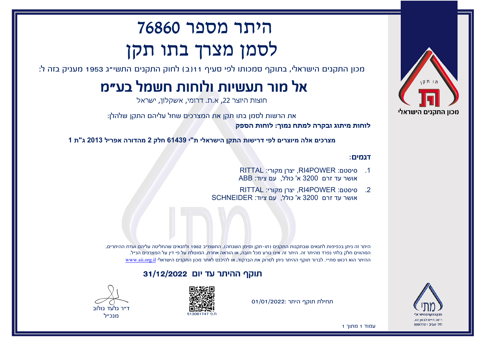

רחוב חיים לבנוו 42. תל-אריר 6997701

# היתר מספר 76860 לסמן מצרך בתו תקן

מכון התקנים הישראלי, בתוקף סמכותו לפי סעיף 11(ב) לחוק התקנים התשי"ג 1953 מעניק בזה ל:

## אל מור תעשיות ולוחות חשמל בע"מ

חוצות היוצר ,22 א.ת. דרומי, אשקלון, ישראל

את הרשות לסמן בתו תקן את המצרכים שחל עליהם התקן שלהלן:

**לוחות מיתוג ובקרה למתח נמוך: לוחות הספק**

**מצרכים אלה מיוצרים לפי דרישות התקן הישראלי ת"י 61439 חלק 2 מהדורה אפריל 2013 ג"ת 1**

#### דגמים:

- .1 סיסטם: POWER4RI, יצרן מקורי: RITTAL אושר עד זרם 3200 א' כולל, עם ציוד: ABB
- .2 סיסטם: POWER4RI, יצרן מקורי: RITTAL אושר עד זרם 3200 א' כולל, עם ציוד: SCHNEIDER

היתר זה ניתן בכפיפות לתנאים שבתקנות התקנים (תו-תקן וסימן השגחה), התשמ"ב 1982 ולתנאים שהחליטה עליהם ועדת ההיתרים, המהווים חלק בלתי נפרד מהיתר זה. היתר זה אינו גורע מכל חובה, או הוראה אחרת, המוטלת על פי דין על המצרכים הנ"ל. ההיתר הוא רכוש מת"י. לברור תוקף ההיתר ניתן לסרוק את הברקוד, או להיכנס לאתר מכון התקנים הישראלי [il.org.sii.www](http://www.sii.org.il)

#### תוקף ההיתר עד יום 31/12/2022





מנכ"ל

תחילת תוקף היתר 01/01/2022:



עמוד 1 מתוך 1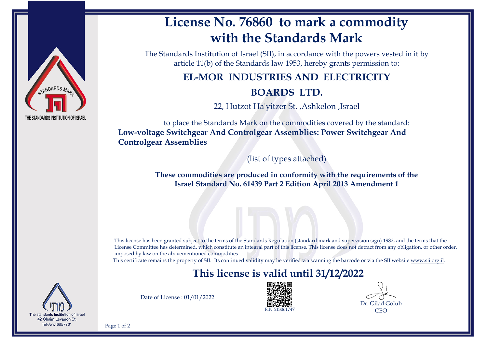

## **License No. 76860 to mark a commodity with the Standards Mark**

The Standards Institution of Israel (SII), in accordance with the powers vested in it by article 11(b) of the Standards law 1953, hereby grants permission to:

### **EL-MOR INDUSTRIES AND ELECTRICITY**

#### **BOARDS LTD.**

22, Hutzot Ha'yitzer St. ,Ashkelon ,Israel

to place the Standards Mark on the commodities covered by the standard: **Low-voltage Switchgear And Controlgear Assemblies: Power Switchgear And Controlgear Assemblies**

(list of types attached)

**These commodities are produced in conformity with the requirements of the Israel Standard No. 61439 Part 2 Edition April 2013 Amendment 1**

This license has been granted subject to the terms of the Standards Regulation (standard mark and supervision sign) 1982, and the terms that the License Committee has determined, which constitute an integral part of this license. This license does not detract from any obligation, or other order, imposed by law on the abovementioned commodities

This certificate remains the property of SII. Its continued validity may be verified via scanning the barcode or via the SII website [www.sii.org.il.](http://www.sii.org.il)

## **This license is valid until 31/12/2022**



Date of License : 01/01/2022



Dr. Gilad Golub **CEO** 

Page 1 of 2